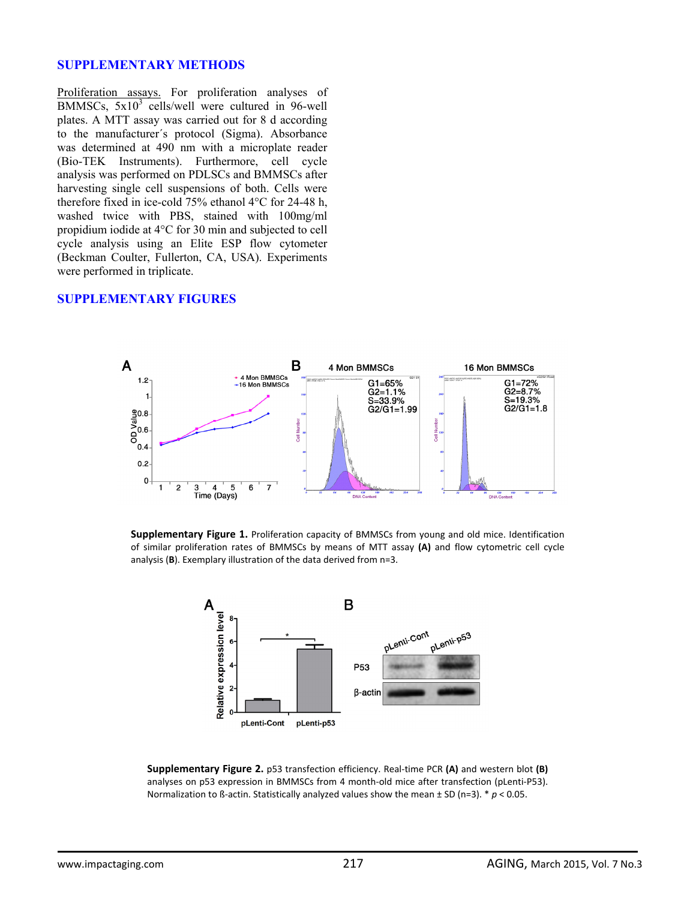## **SUPPLEMENTARY METHODS**

Proliferation assays. For proliferation analyses of BMMSCs,  $5x10^3$  cells/well were cultured in 96-well plates. A MTT assay was carried out for 8 d according to the manufacturer´s protocol (Sigma). Absorbance was determined at 490 nm with a microplate reader (Bio-TEK Instruments). Furthermore, cell cycle analysis was performed on PDLSCs and BMMSCs after harvesting single cell suspensions of both. Cells were therefore fixed in ice-cold 75% ethanol 4°C for 24-48 h, washed twice with PBS, stained with 100mg/ml propidium iodide at 4°C for 30 min and subjected to cell cycle analysis using an Elite ESP flow cytometer (Beckman Coulter, Fullerton, CA, USA). Experiments were performed in triplicate.

## **SUPPLEMENTARY FIGURES**



**Supplementary Figure 1.** Proliferation capacity of BMMSCs from young and old mice. Identification of similar proliferation rates of BMMSCs by means of MTT assay **(A)** and flow cytometric cell cycle analysis (**B**). Exemplary illustration of the data derived from n=3.



**Supplementary Figure 2.** p53 transfection efficiency. Real‐time PCR **(A)** and western blot **(B)** analyses on p53 expression in BMMSCs from 4 month-old mice after transfection (pLenti-P53). Normalization to ß‐actin. Statistically analyzed values show the mean ± SD (n=3). \* *p* < 0.05.